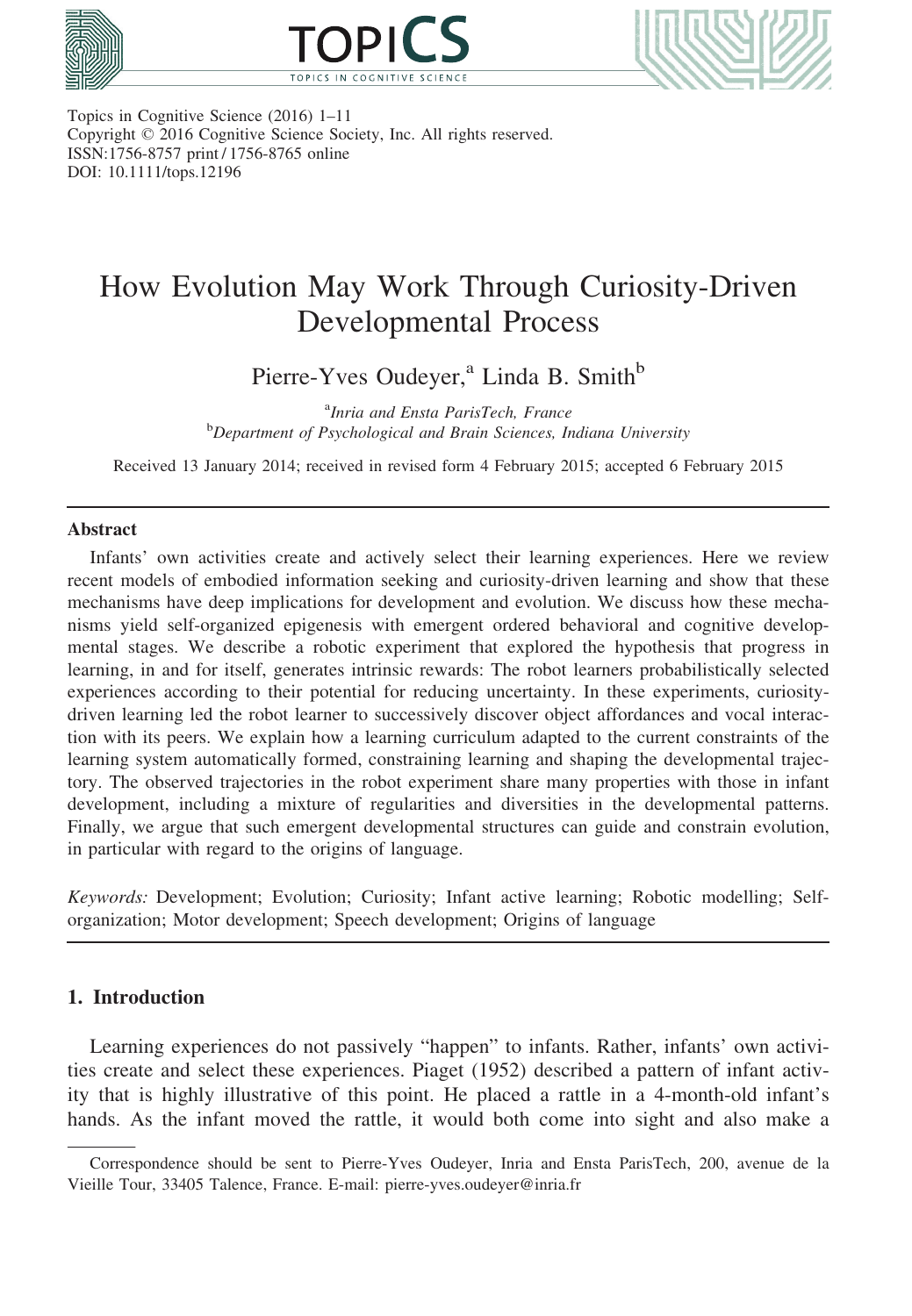





Topics in Cognitive Science (2016) 1–11 Copyright © 2016 Cognitive Science Society, Inc. All rights reserved. ISSN:1756-8757 print / 1756-8765 online DOI: 10.1111/tops.12196

# How Evolution May Work Through Curiosity-Driven Developmental Process

Pierre-Yves Oudeyer,<sup>a</sup> Linda B. Smith<sup>b</sup>

<sup>a</sup>Inria and Ensta ParisTech, France <sup>a</sup>Inria and Ensta ParisTech, France<br><sup>b</sup>Department of Psychological and Brain Sciences, Indiana University

Received 13 January 2014; received in revised form 4 February 2015; accepted 6 February 2015

#### Abstract

Infants' own activities create and actively select their learning experiences. Here we review recent models of embodied information seeking and curiosity-driven learning and show that these mechanisms have deep implications for development and evolution. We discuss how these mechanisms yield self-organized epigenesis with emergent ordered behavioral and cognitive developmental stages. We describe a robotic experiment that explored the hypothesis that progress in learning, in and for itself, generates intrinsic rewards: The robot learners probabilistically selected experiences according to their potential for reducing uncertainty. In these experiments, curiositydriven learning led the robot learner to successively discover object affordances and vocal interaction with its peers. We explain how a learning curriculum adapted to the current constraints of the learning system automatically formed, constraining learning and shaping the developmental trajectory. The observed trajectories in the robot experiment share many properties with those in infant development, including a mixture of regularities and diversities in the developmental patterns. Finally, we argue that such emergent developmental structures can guide and constrain evolution, in particular with regard to the origins of language.

Keywords: Development; Evolution; Curiosity; Infant active learning; Robotic modelling; Selforganization; Motor development; Speech development; Origins of language

# 1. Introduction

Learning experiences do not passively "happen" to infants. Rather, infants' own activities create and select these experiences. Piaget (1952) described a pattern of infant activity that is highly illustrative of this point. He placed a rattle in a 4-month-old infant's hands. As the infant moved the rattle, it would both come into sight and also make a

Correspondence should be sent to Pierre-Yves Oudeyer, Inria and Ensta ParisTech, 200, avenue de la Vieille Tour, 33405 Talence, France. E-mail: pierre-yves.oudeyer@inria.fr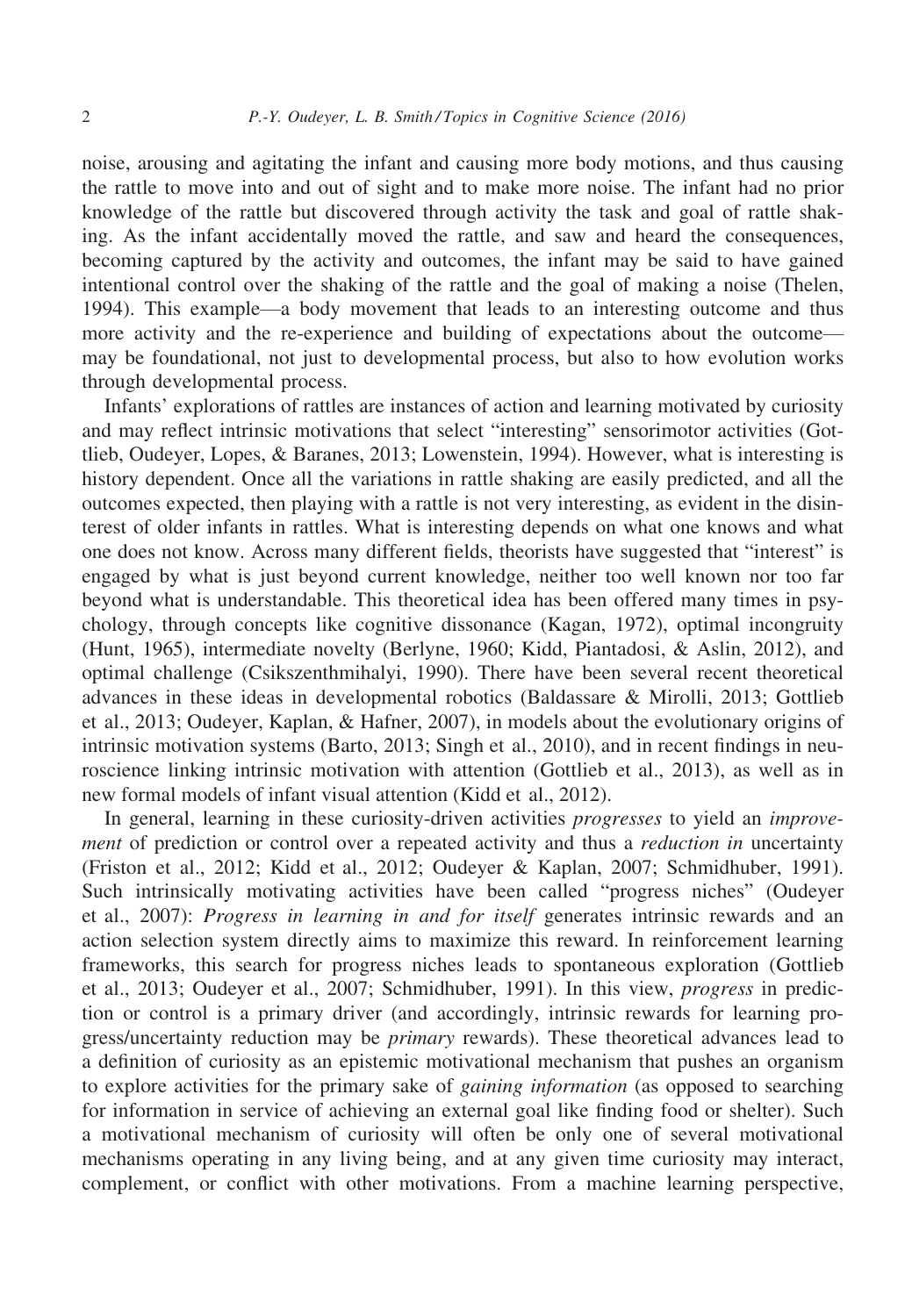noise, arousing and agitating the infant and causing more body motions, and thus causing the rattle to move into and out of sight and to make more noise. The infant had no prior knowledge of the rattle but discovered through activity the task and goal of rattle shaking. As the infant accidentally moved the rattle, and saw and heard the consequences, becoming captured by the activity and outcomes, the infant may be said to have gained intentional control over the shaking of the rattle and the goal of making a noise (Thelen, 1994). This example—a body movement that leads to an interesting outcome and thus more activity and the re-experience and building of expectations about the outcome may be foundational, not just to developmental process, but also to how evolution works through developmental process.

Infants' explorations of rattles are instances of action and learning motivated by curiosity and may reflect intrinsic motivations that select "interesting" sensorimotor activities (Gottlieb, Oudeyer, Lopes, & Baranes, 2013; Lowenstein, 1994). However, what is interesting is history dependent. Once all the variations in rattle shaking are easily predicted, and all the outcomes expected, then playing with a rattle is not very interesting, as evident in the disinterest of older infants in rattles. What is interesting depends on what one knows and what one does not know. Across many different fields, theorists have suggested that "interest" is engaged by what is just beyond current knowledge, neither too well known nor too far beyond what is understandable. This theoretical idea has been offered many times in psychology, through concepts like cognitive dissonance (Kagan, 1972), optimal incongruity (Hunt, 1965), intermediate novelty (Berlyne, 1960; Kidd, Piantadosi, & Aslin, 2012), and optimal challenge (Csikszenthmihalyi, 1990). There have been several recent theoretical advances in these ideas in developmental robotics (Baldassare & Mirolli, 2013; Gottlieb et al., 2013; Oudeyer, Kaplan, & Hafner, 2007), in models about the evolutionary origins of intrinsic motivation systems (Barto, 2013; Singh et al., 2010), and in recent findings in neuroscience linking intrinsic motivation with attention (Gottlieb et al., 2013), as well as in new formal models of infant visual attention (Kidd et al., 2012).

In general, learning in these curiosity-driven activities *progresses* to yield an *improve*ment of prediction or control over a repeated activity and thus a *reduction in* uncertainty (Friston et al., 2012; Kidd et al., 2012; Oudeyer & Kaplan, 2007; Schmidhuber, 1991). Such intrinsically motivating activities have been called "progress niches" (Oudeyer et al., 2007): Progress in learning in and for itself generates intrinsic rewards and an action selection system directly aims to maximize this reward. In reinforcement learning frameworks, this search for progress niches leads to spontaneous exploration (Gottlieb et al., 2013; Oudeyer et al., 2007; Schmidhuber, 1991). In this view, progress in prediction or control is a primary driver (and accordingly, intrinsic rewards for learning progress/uncertainty reduction may be primary rewards). These theoretical advances lead to a definition of curiosity as an epistemic motivational mechanism that pushes an organism to explore activities for the primary sake of gaining information (as opposed to searching for information in service of achieving an external goal like finding food or shelter). Such a motivational mechanism of curiosity will often be only one of several motivational mechanisms operating in any living being, and at any given time curiosity may interact, complement, or conflict with other motivations. From a machine learning perspective,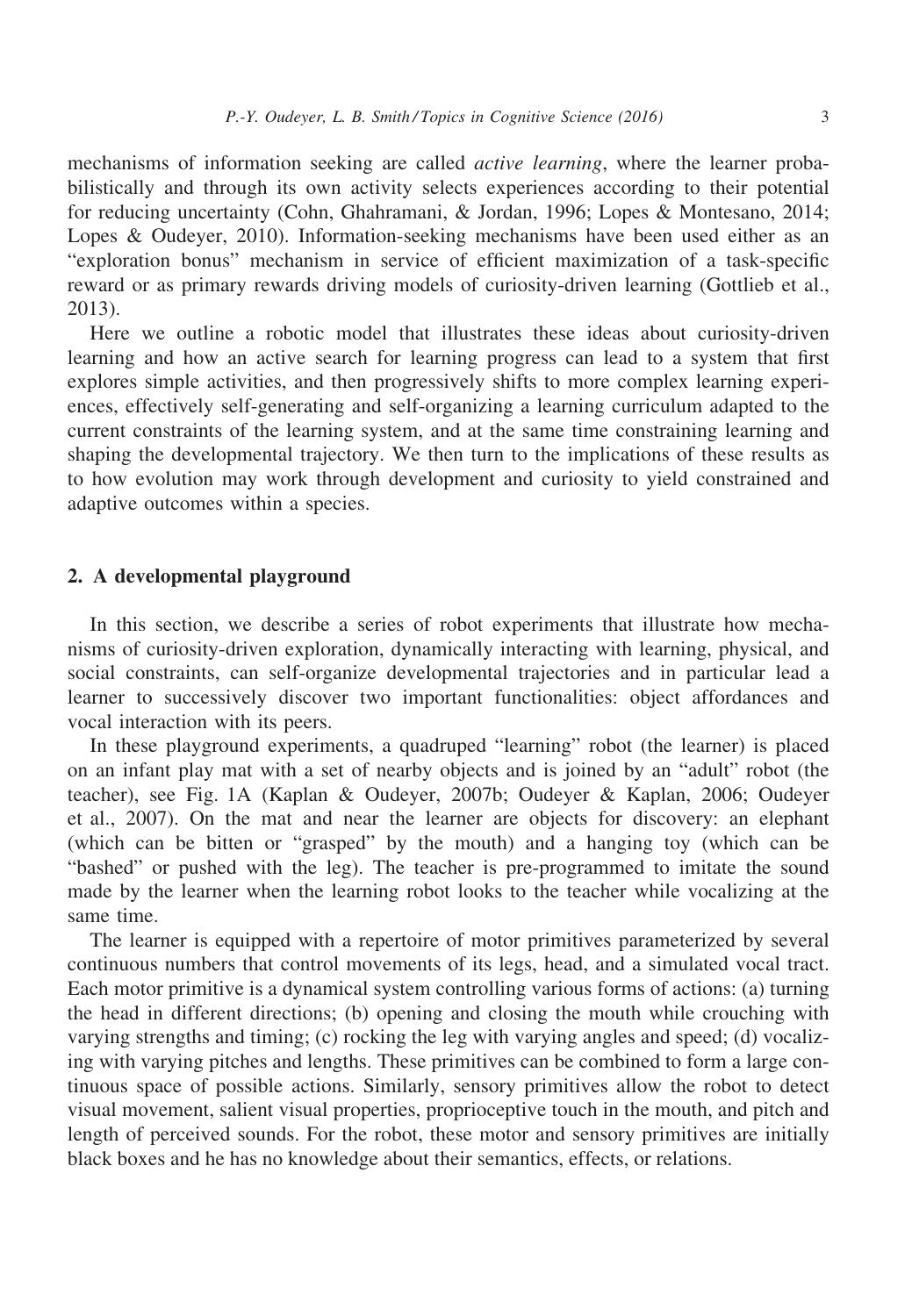mechanisms of information seeking are called active learning, where the learner probabilistically and through its own activity selects experiences according to their potential for reducing uncertainty (Cohn, Ghahramani, & Jordan, 1996; Lopes & Montesano, 2014; Lopes & Oudeyer, 2010). Information-seeking mechanisms have been used either as an "exploration bonus" mechanism in service of efficient maximization of a task-specific reward or as primary rewards driving models of curiosity-driven learning (Gottlieb et al., 2013).

Here we outline a robotic model that illustrates these ideas about curiosity-driven learning and how an active search for learning progress can lead to a system that first explores simple activities, and then progressively shifts to more complex learning experiences, effectively self-generating and self-organizing a learning curriculum adapted to the current constraints of the learning system, and at the same time constraining learning and shaping the developmental trajectory. We then turn to the implications of these results as to how evolution may work through development and curiosity to yield constrained and adaptive outcomes within a species.

#### 2. A developmental playground

In this section, we describe a series of robot experiments that illustrate how mechanisms of curiosity-driven exploration, dynamically interacting with learning, physical, and social constraints, can self-organize developmental trajectories and in particular lead a learner to successively discover two important functionalities: object affordances and vocal interaction with its peers.

In these playground experiments, a quadruped "learning" robot (the learner) is placed on an infant play mat with a set of nearby objects and is joined by an "adult" robot (the teacher), see Fig. 1A (Kaplan & Oudeyer, 2007b; Oudeyer & Kaplan, 2006; Oudeyer et al., 2007). On the mat and near the learner are objects for discovery: an elephant (which can be bitten or "grasped" by the mouth) and a hanging toy (which can be "bashed" or pushed with the leg). The teacher is pre-programmed to imitate the sound made by the learner when the learning robot looks to the teacher while vocalizing at the same time.

The learner is equipped with a repertoire of motor primitives parameterized by several continuous numbers that control movements of its legs, head, and a simulated vocal tract. Each motor primitive is a dynamical system controlling various forms of actions: (a) turning the head in different directions; (b) opening and closing the mouth while crouching with varying strengths and timing; (c) rocking the leg with varying angles and speed; (d) vocalizing with varying pitches and lengths. These primitives can be combined to form a large continuous space of possible actions. Similarly, sensory primitives allow the robot to detect visual movement, salient visual properties, proprioceptive touch in the mouth, and pitch and length of perceived sounds. For the robot, these motor and sensory primitives are initially black boxes and he has no knowledge about their semantics, effects, or relations.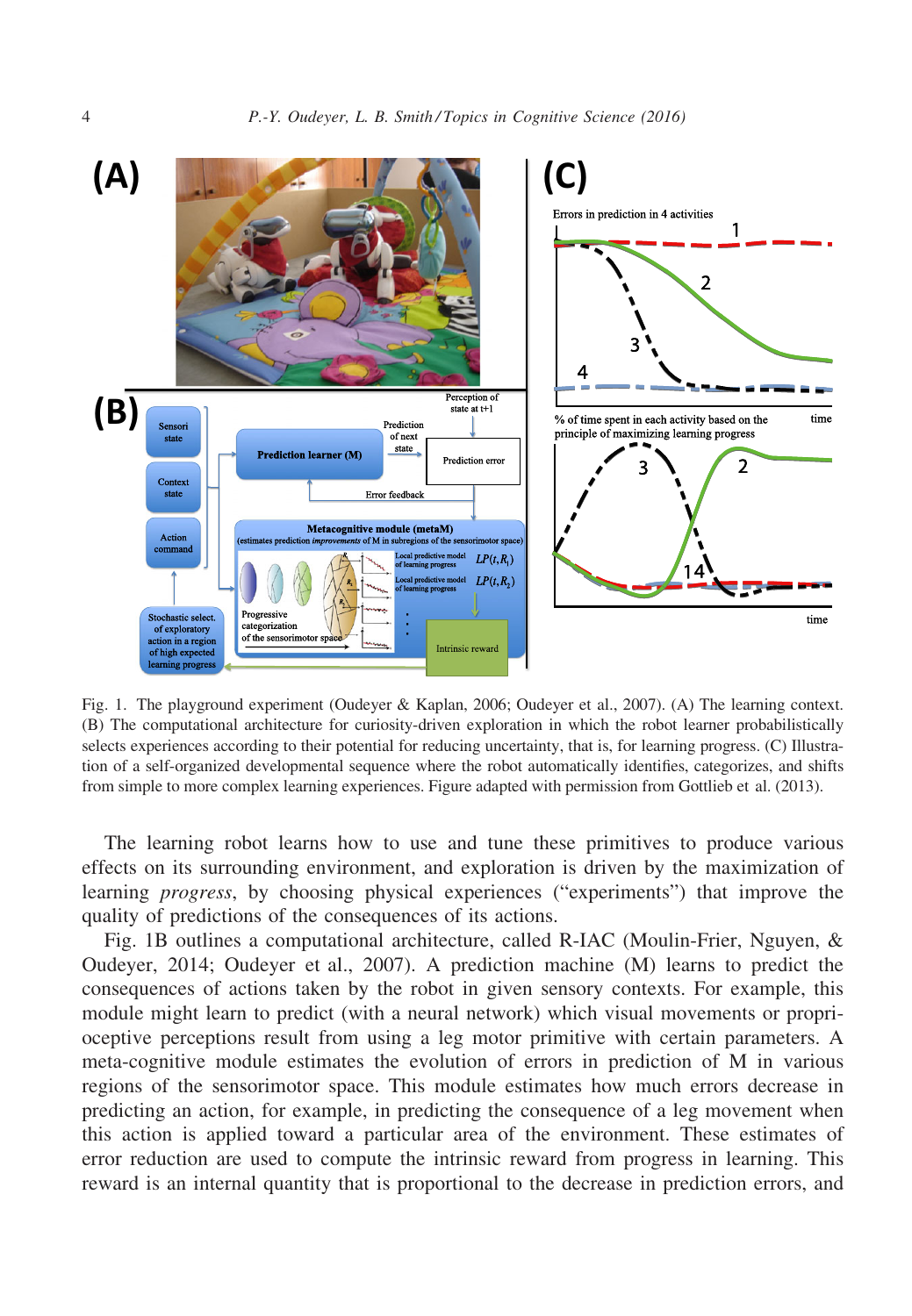

Fig. 1. The playground experiment (Oudeyer & Kaplan, 2006; Oudeyer et al., 2007). (A) The learning context. (B) The computational architecture for curiosity-driven exploration in which the robot learner probabilistically selects experiences according to their potential for reducing uncertainty, that is, for learning progress. (C) Illustration of a self-organized developmental sequence where the robot automatically identifies, categorizes, and shifts from simple to more complex learning experiences. Figure adapted with permission from Gottlieb et al. (2013).

The learning robot learns how to use and tune these primitives to produce various effects on its surrounding environment, and exploration is driven by the maximization of learning progress, by choosing physical experiences ("experiments") that improve the quality of predictions of the consequences of its actions.

Fig. 1B outlines a computational architecture, called R-IAC (Moulin-Frier, Nguyen, & Oudeyer, 2014; Oudeyer et al., 2007). A prediction machine (M) learns to predict the consequences of actions taken by the robot in given sensory contexts. For example, this module might learn to predict (with a neural network) which visual movements or proprioceptive perceptions result from using a leg motor primitive with certain parameters. A meta-cognitive module estimates the evolution of errors in prediction of M in various regions of the sensorimotor space. This module estimates how much errors decrease in predicting an action, for example, in predicting the consequence of a leg movement when this action is applied toward a particular area of the environment. These estimates of error reduction are used to compute the intrinsic reward from progress in learning. This reward is an internal quantity that is proportional to the decrease in prediction errors, and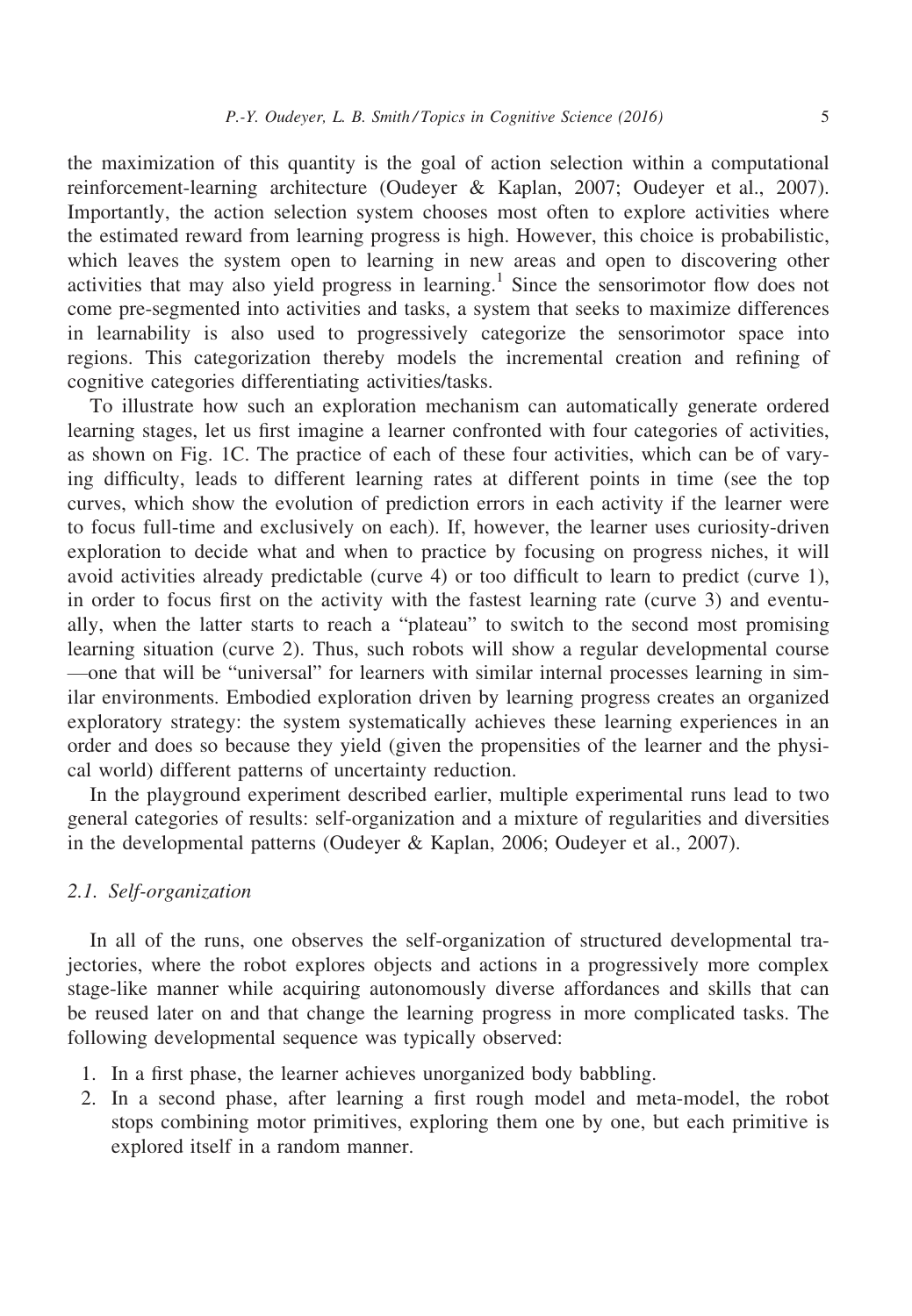the maximization of this quantity is the goal of action selection within a computational reinforcement-learning architecture (Oudeyer & Kaplan, 2007; Oudeyer et al., 2007). Importantly, the action selection system chooses most often to explore activities where the estimated reward from learning progress is high. However, this choice is probabilistic, which leaves the system open to learning in new areas and open to discovering other activities that may also yield progress in learning.<sup>1</sup> Since the sensorimotor flow does not come pre-segmented into activities and tasks, a system that seeks to maximize differences in learnability is also used to progressively categorize the sensorimotor space into regions. This categorization thereby models the incremental creation and refining of cognitive categories differentiating activities/tasks.

To illustrate how such an exploration mechanism can automatically generate ordered learning stages, let us first imagine a learner confronted with four categories of activities, as shown on Fig. 1C. The practice of each of these four activities, which can be of varying difficulty, leads to different learning rates at different points in time (see the top curves, which show the evolution of prediction errors in each activity if the learner were to focus full-time and exclusively on each). If, however, the learner uses curiosity-driven exploration to decide what and when to practice by focusing on progress niches, it will avoid activities already predictable (curve 4) or too difficult to learn to predict (curve 1), in order to focus first on the activity with the fastest learning rate (curve 3) and eventually, when the latter starts to reach a "plateau" to switch to the second most promising learning situation (curve 2). Thus, such robots will show a regular developmental course —one that will be "universal" for learners with similar internal processes learning in similar environments. Embodied exploration driven by learning progress creates an organized exploratory strategy: the system systematically achieves these learning experiences in an order and does so because they yield (given the propensities of the learner and the physical world) different patterns of uncertainty reduction.

In the playground experiment described earlier, multiple experimental runs lead to two general categories of results: self-organization and a mixture of regularities and diversities in the developmental patterns (Oudeyer & Kaplan, 2006; Oudeyer et al., 2007).

## 2.1. Self-organization

In all of the runs, one observes the self-organization of structured developmental trajectories, where the robot explores objects and actions in a progressively more complex stage-like manner while acquiring autonomously diverse affordances and skills that can be reused later on and that change the learning progress in more complicated tasks. The following developmental sequence was typically observed:

- 1. In a first phase, the learner achieves unorganized body babbling.
- 2. In a second phase, after learning a first rough model and meta-model, the robot stops combining motor primitives, exploring them one by one, but each primitive is explored itself in a random manner.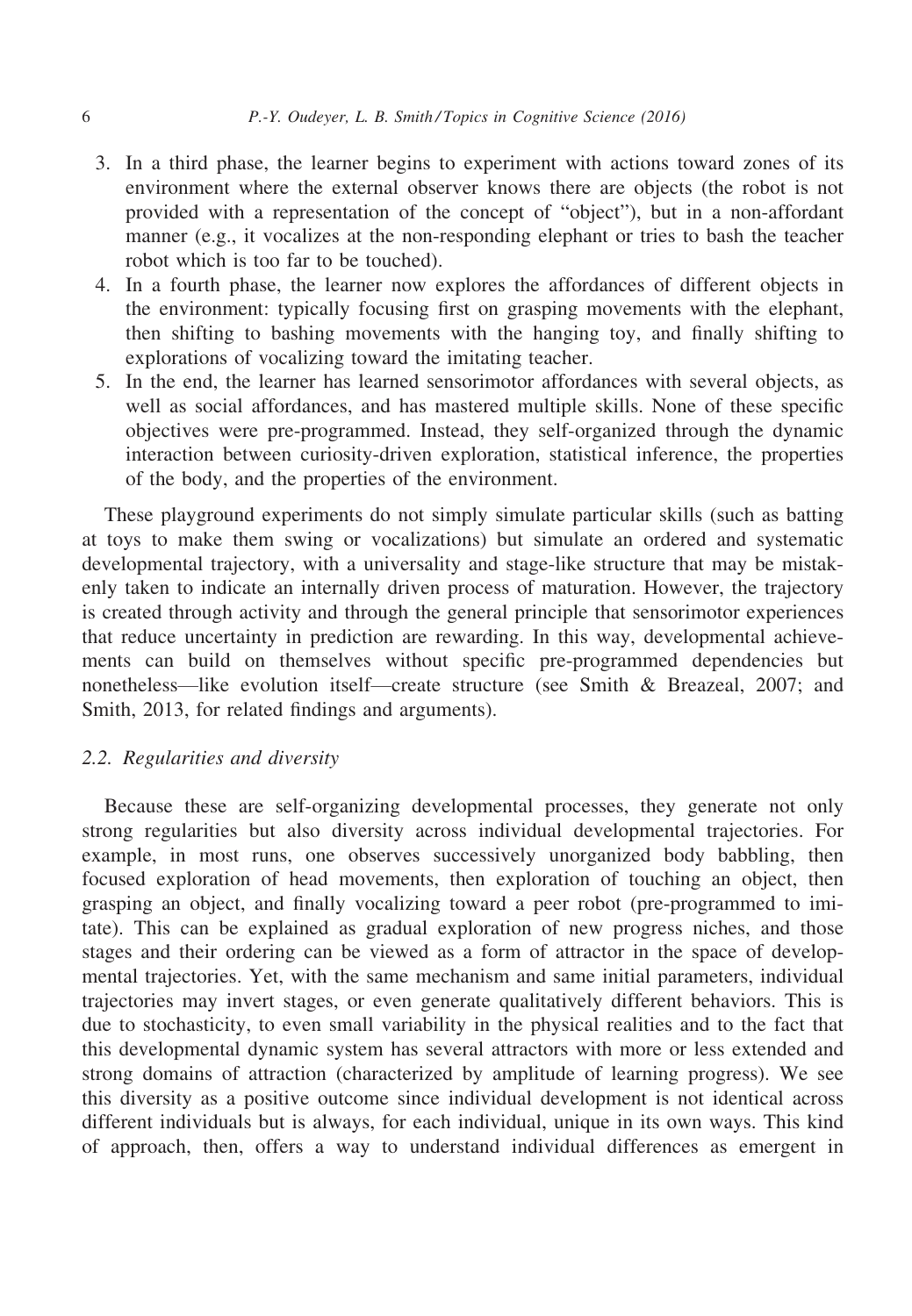- 3. In a third phase, the learner begins to experiment with actions toward zones of its environment where the external observer knows there are objects (the robot is not provided with a representation of the concept of "object"), but in a non-affordant manner (e.g., it vocalizes at the non-responding elephant or tries to bash the teacher robot which is too far to be touched).
- 4. In a fourth phase, the learner now explores the affordances of different objects in the environment: typically focusing first on grasping movements with the elephant, then shifting to bashing movements with the hanging toy, and finally shifting to explorations of vocalizing toward the imitating teacher.
- 5. In the end, the learner has learned sensorimotor affordances with several objects, as well as social affordances, and has mastered multiple skills. None of these specific objectives were pre-programmed. Instead, they self-organized through the dynamic interaction between curiosity-driven exploration, statistical inference, the properties of the body, and the properties of the environment.

These playground experiments do not simply simulate particular skills (such as batting at toys to make them swing or vocalizations) but simulate an ordered and systematic developmental trajectory, with a universality and stage-like structure that may be mistakenly taken to indicate an internally driven process of maturation. However, the trajectory is created through activity and through the general principle that sensorimotor experiences that reduce uncertainty in prediction are rewarding. In this way, developmental achievements can build on themselves without specific pre-programmed dependencies but nonetheless—like evolution itself—create structure (see Smith & Breazeal, 2007; and Smith, 2013, for related findings and arguments).

### 2.2. Regularities and diversity

Because these are self-organizing developmental processes, they generate not only strong regularities but also diversity across individual developmental trajectories. For example, in most runs, one observes successively unorganized body babbling, then focused exploration of head movements, then exploration of touching an object, then grasping an object, and finally vocalizing toward a peer robot (pre-programmed to imitate). This can be explained as gradual exploration of new progress niches, and those stages and their ordering can be viewed as a form of attractor in the space of developmental trajectories. Yet, with the same mechanism and same initial parameters, individual trajectories may invert stages, or even generate qualitatively different behaviors. This is due to stochasticity, to even small variability in the physical realities and to the fact that this developmental dynamic system has several attractors with more or less extended and strong domains of attraction (characterized by amplitude of learning progress). We see this diversity as a positive outcome since individual development is not identical across different individuals but is always, for each individual, unique in its own ways. This kind of approach, then, offers a way to understand individual differences as emergent in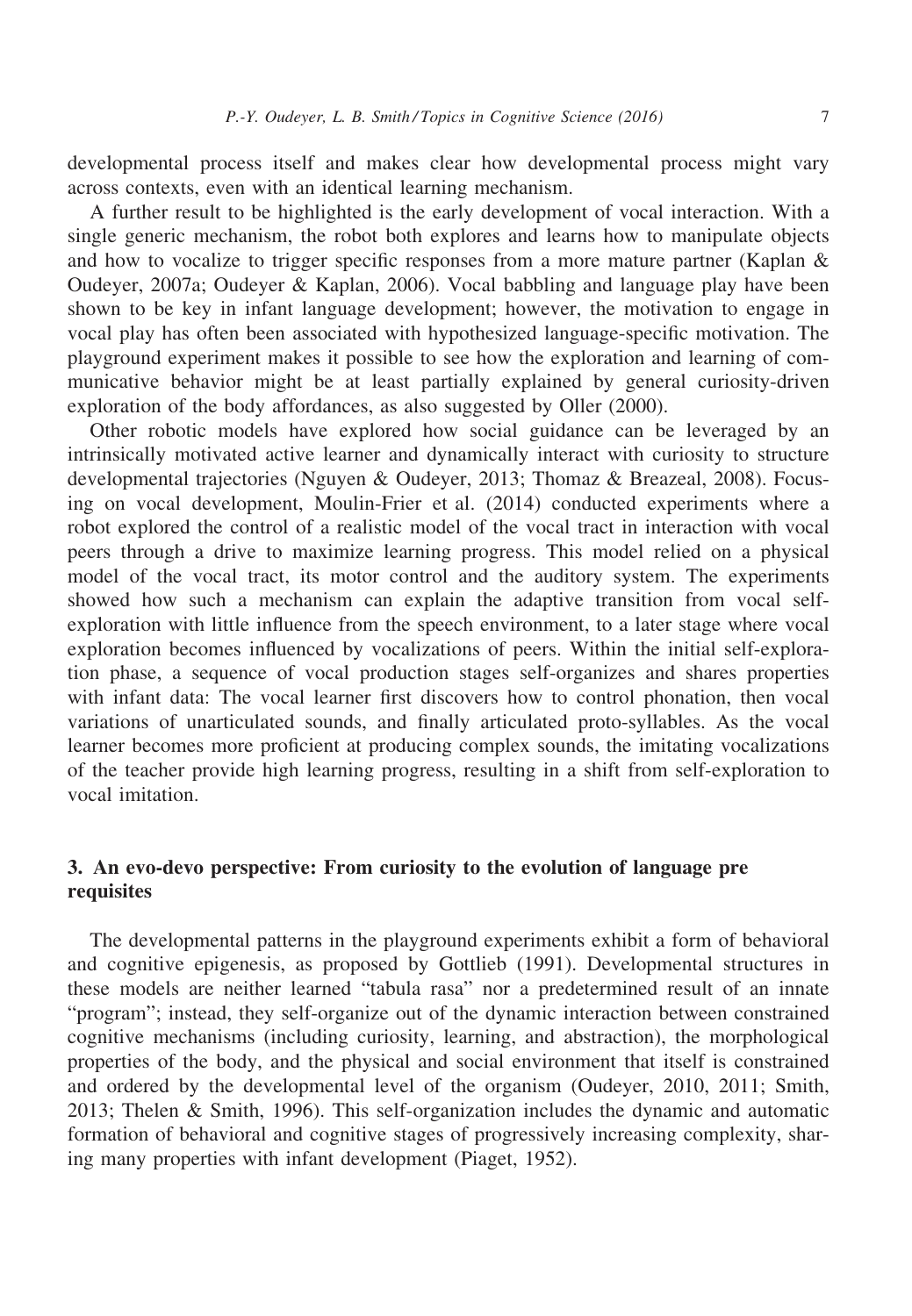developmental process itself and makes clear how developmental process might vary across contexts, even with an identical learning mechanism.

A further result to be highlighted is the early development of vocal interaction. With a single generic mechanism, the robot both explores and learns how to manipulate objects and how to vocalize to trigger specific responses from a more mature partner (Kaplan & Oudeyer, 2007a; Oudeyer & Kaplan, 2006). Vocal babbling and language play have been shown to be key in infant language development; however, the motivation to engage in vocal play has often been associated with hypothesized language-specific motivation. The playground experiment makes it possible to see how the exploration and learning of communicative behavior might be at least partially explained by general curiosity-driven exploration of the body affordances, as also suggested by Oller (2000).

Other robotic models have explored how social guidance can be leveraged by an intrinsically motivated active learner and dynamically interact with curiosity to structure developmental trajectories (Nguyen & Oudeyer, 2013; Thomaz & Breazeal, 2008). Focusing on vocal development, Moulin-Frier et al. (2014) conducted experiments where a robot explored the control of a realistic model of the vocal tract in interaction with vocal peers through a drive to maximize learning progress. This model relied on a physical model of the vocal tract, its motor control and the auditory system. The experiments showed how such a mechanism can explain the adaptive transition from vocal selfexploration with little influence from the speech environment, to a later stage where vocal exploration becomes influenced by vocalizations of peers. Within the initial self-exploration phase, a sequence of vocal production stages self-organizes and shares properties with infant data: The vocal learner first discovers how to control phonation, then vocal variations of unarticulated sounds, and finally articulated proto-syllables. As the vocal learner becomes more proficient at producing complex sounds, the imitating vocalizations of the teacher provide high learning progress, resulting in a shift from self-exploration to vocal imitation.

# 3. An evo-devo perspective: From curiosity to the evolution of language pre requisites

The developmental patterns in the playground experiments exhibit a form of behavioral and cognitive epigenesis, as proposed by Gottlieb (1991). Developmental structures in these models are neither learned "tabula rasa" nor a predetermined result of an innate "program"; instead, they self-organize out of the dynamic interaction between constrained cognitive mechanisms (including curiosity, learning, and abstraction), the morphological properties of the body, and the physical and social environment that itself is constrained and ordered by the developmental level of the organism (Oudeyer, 2010, 2011; Smith, 2013; Thelen & Smith, 1996). This self-organization includes the dynamic and automatic formation of behavioral and cognitive stages of progressively increasing complexity, sharing many properties with infant development (Piaget, 1952).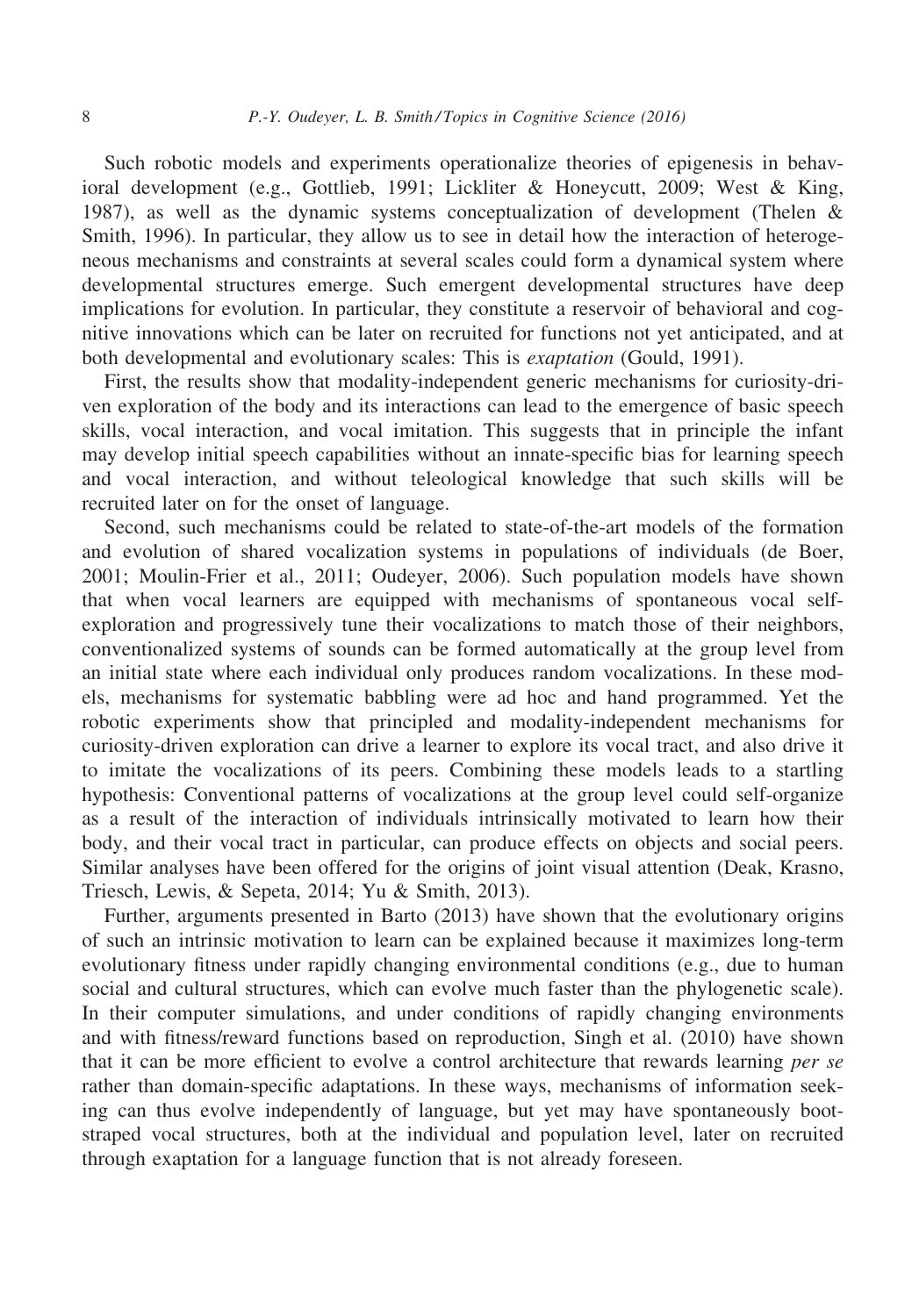Such robotic models and experiments operationalize theories of epigenesis in behavioral development (e.g., Gottlieb, 1991; Lickliter & Honeycutt, 2009; West & King, 1987), as well as the dynamic systems conceptualization of development (Thelen & Smith, 1996). In particular, they allow us to see in detail how the interaction of heterogeneous mechanisms and constraints at several scales could form a dynamical system where developmental structures emerge. Such emergent developmental structures have deep implications for evolution. In particular, they constitute a reservoir of behavioral and cognitive innovations which can be later on recruited for functions not yet anticipated, and at both developmental and evolutionary scales: This is exaptation (Gould, 1991).

First, the results show that modality-independent generic mechanisms for curiosity-driven exploration of the body and its interactions can lead to the emergence of basic speech skills, vocal interaction, and vocal imitation. This suggests that in principle the infant may develop initial speech capabilities without an innate-specific bias for learning speech and vocal interaction, and without teleological knowledge that such skills will be recruited later on for the onset of language.

Second, such mechanisms could be related to state-of-the-art models of the formation and evolution of shared vocalization systems in populations of individuals (de Boer, 2001; Moulin-Frier et al., 2011; Oudeyer, 2006). Such population models have shown that when vocal learners are equipped with mechanisms of spontaneous vocal selfexploration and progressively tune their vocalizations to match those of their neighbors, conventionalized systems of sounds can be formed automatically at the group level from an initial state where each individual only produces random vocalizations. In these models, mechanisms for systematic babbling were ad hoc and hand programmed. Yet the robotic experiments show that principled and modality-independent mechanisms for curiosity-driven exploration can drive a learner to explore its vocal tract, and also drive it to imitate the vocalizations of its peers. Combining these models leads to a startling hypothesis: Conventional patterns of vocalizations at the group level could self-organize as a result of the interaction of individuals intrinsically motivated to learn how their body, and their vocal tract in particular, can produce effects on objects and social peers. Similar analyses have been offered for the origins of joint visual attention (Deak, Krasno, Triesch, Lewis, & Sepeta, 2014; Yu & Smith, 2013).

Further, arguments presented in Barto (2013) have shown that the evolutionary origins of such an intrinsic motivation to learn can be explained because it maximizes long-term evolutionary fitness under rapidly changing environmental conditions (e.g., due to human social and cultural structures, which can evolve much faster than the phylogenetic scale). In their computer simulations, and under conditions of rapidly changing environments and with fitness/reward functions based on reproduction, Singh et al. (2010) have shown that it can be more efficient to evolve a control architecture that rewards learning *per se* rather than domain-specific adaptations. In these ways, mechanisms of information seeking can thus evolve independently of language, but yet may have spontaneously bootstraped vocal structures, both at the individual and population level, later on recruited through exaptation for a language function that is not already foreseen.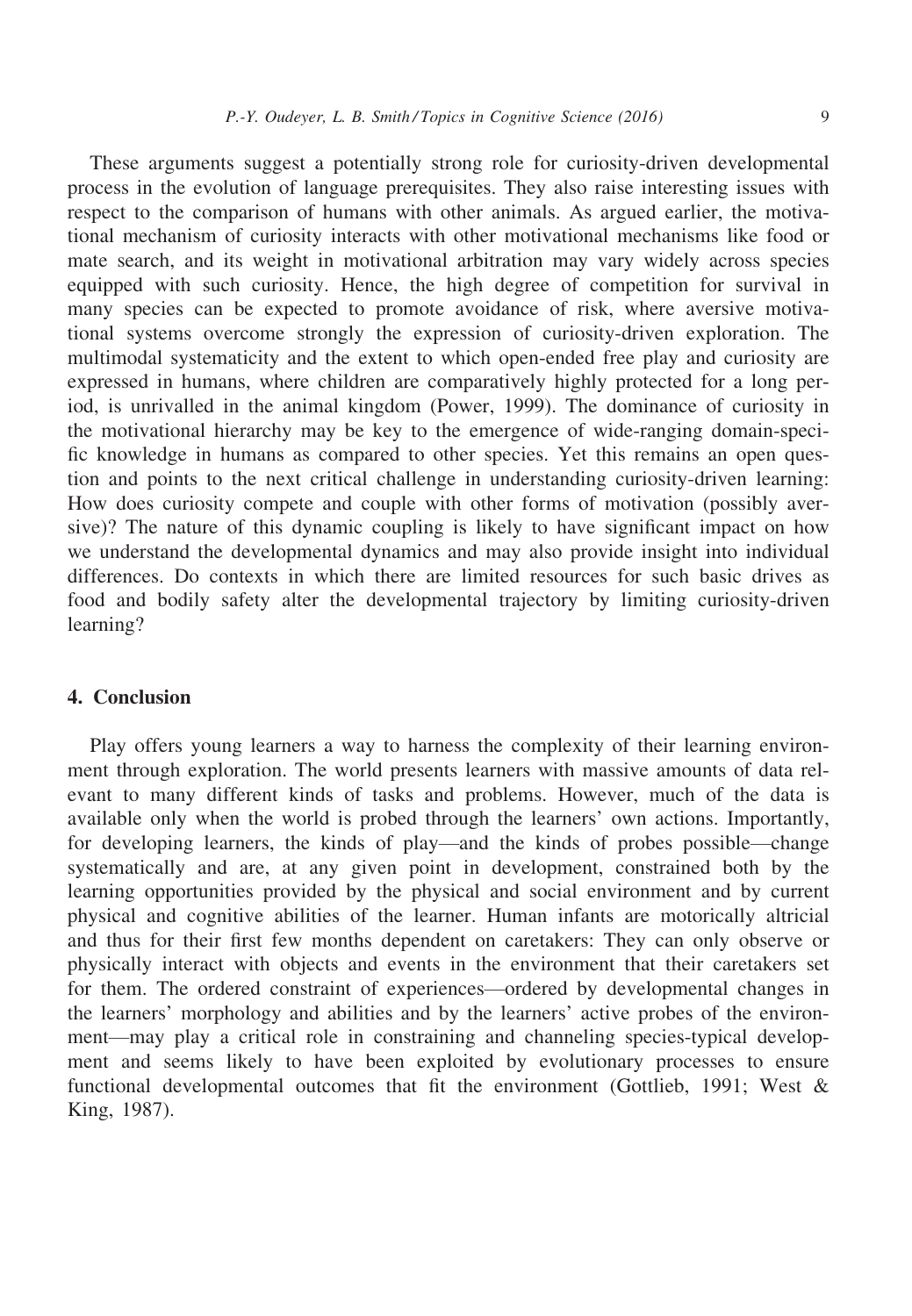These arguments suggest a potentially strong role for curiosity-driven developmental process in the evolution of language prerequisites. They also raise interesting issues with respect to the comparison of humans with other animals. As argued earlier, the motivational mechanism of curiosity interacts with other motivational mechanisms like food or mate search, and its weight in motivational arbitration may vary widely across species equipped with such curiosity. Hence, the high degree of competition for survival in many species can be expected to promote avoidance of risk, where aversive motivational systems overcome strongly the expression of curiosity-driven exploration. The multimodal systematicity and the extent to which open-ended free play and curiosity are expressed in humans, where children are comparatively highly protected for a long period, is unrivalled in the animal kingdom (Power, 1999). The dominance of curiosity in the motivational hierarchy may be key to the emergence of wide-ranging domain-specific knowledge in humans as compared to other species. Yet this remains an open question and points to the next critical challenge in understanding curiosity-driven learning: How does curiosity compete and couple with other forms of motivation (possibly aversive)? The nature of this dynamic coupling is likely to have significant impact on how we understand the developmental dynamics and may also provide insight into individual differences. Do contexts in which there are limited resources for such basic drives as food and bodily safety alter the developmental trajectory by limiting curiosity-driven learning?

## 4. Conclusion

Play offers young learners a way to harness the complexity of their learning environment through exploration. The world presents learners with massive amounts of data relevant to many different kinds of tasks and problems. However, much of the data is available only when the world is probed through the learners' own actions. Importantly, for developing learners, the kinds of play—and the kinds of probes possible—change systematically and are, at any given point in development, constrained both by the learning opportunities provided by the physical and social environment and by current physical and cognitive abilities of the learner. Human infants are motorically altricial and thus for their first few months dependent on caretakers: They can only observe or physically interact with objects and events in the environment that their caretakers set for them. The ordered constraint of experiences—ordered by developmental changes in the learners' morphology and abilities and by the learners' active probes of the environment—may play a critical role in constraining and channeling species-typical development and seems likely to have been exploited by evolutionary processes to ensure functional developmental outcomes that fit the environment (Gottlieb, 1991; West & King, 1987).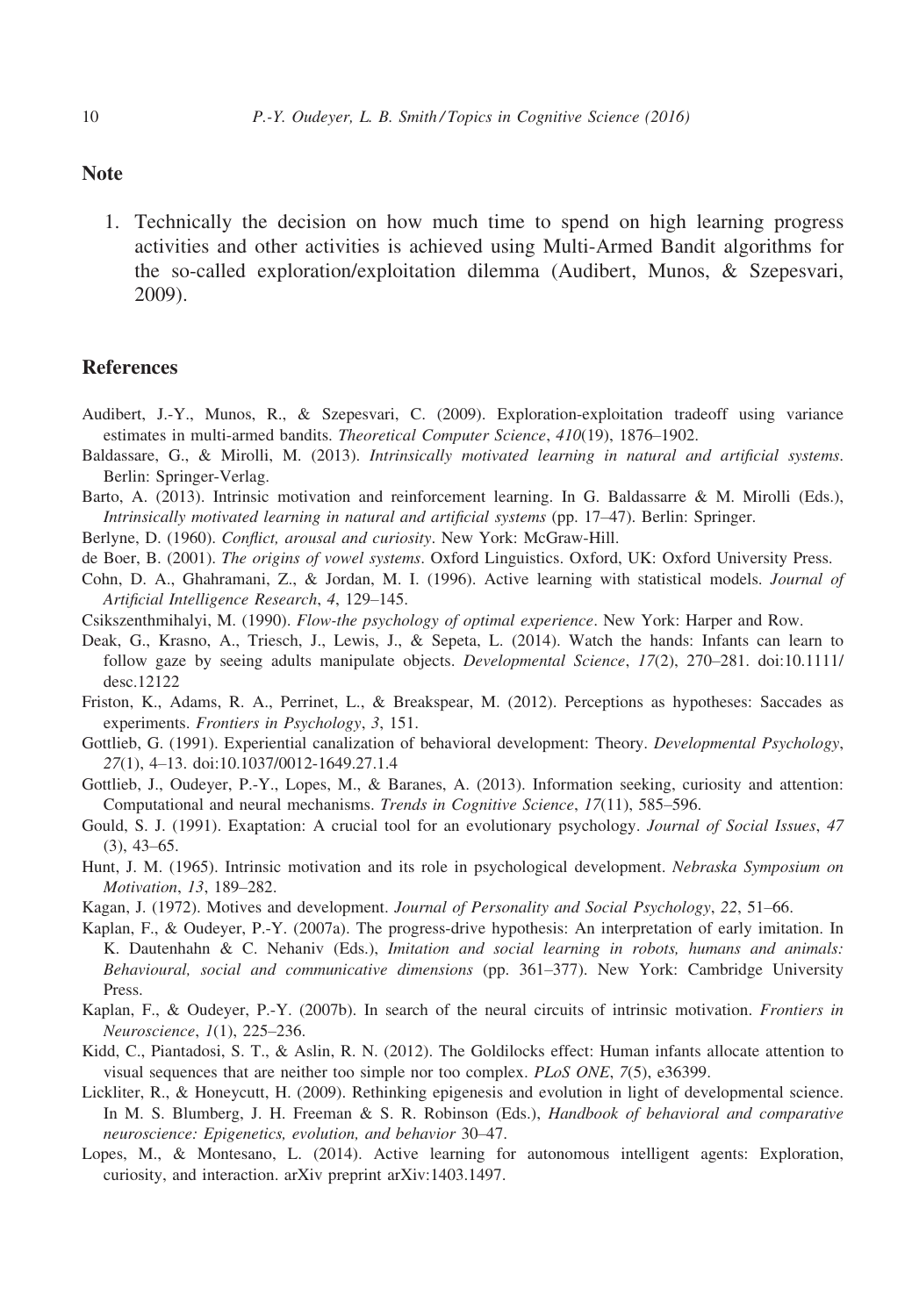### **Note**

1. Technically the decision on how much time to spend on high learning progress activities and other activities is achieved using Multi-Armed Bandit algorithms for the so-called exploration/exploitation dilemma (Audibert, Munos, & Szepesvari, 2009).

#### **References**

- Audibert, J.-Y., Munos, R., & Szepesvari, C. (2009). Exploration-exploitation tradeoff using variance estimates in multi-armed bandits. Theoretical Computer Science, 410(19), 1876–1902.
- Baldassare, G., & Mirolli, M. (2013). Intrinsically motivated learning in natural and artificial systems. Berlin: Springer-Verlag.
- Barto, A. (2013). Intrinsic motivation and reinforcement learning. In G. Baldassarre & M. Mirolli (Eds.), Intrinsically motivated learning in natural and artificial systems (pp. 17–47). Berlin: Springer.
- Berlyne, D. (1960). Conflict, arousal and curiosity. New York: McGraw-Hill.
- de Boer, B. (2001). The origins of vowel systems. Oxford Linguistics. Oxford, UK: Oxford University Press.
- Cohn, D. A., Ghahramani, Z., & Jordan, M. I. (1996). Active learning with statistical models. Journal of Artificial Intelligence Research, 4, 129–145.
- Csikszenthmihalyi, M. (1990). Flow-the psychology of optimal experience. New York: Harper and Row.
- Deak, G., Krasno, A., Triesch, J., Lewis, J., & Sepeta, L. (2014). Watch the hands: Infants can learn to follow gaze by seeing adults manipulate objects. Developmental Science, 17(2), 270-281. doi[:10.1111/](http://dx.doi.org/10.1111/desc.12122) [desc.12122](http://dx.doi.org/10.1111/desc.12122)
- Friston, K., Adams, R. A., Perrinet, L., & Breakspear, M. (2012). Perceptions as hypotheses: Saccades as experiments. Frontiers in Psychology, 3, 151.
- Gottlieb, G. (1991). Experiential canalization of behavioral development: Theory. Developmental Psychology, 27(1), 4–13. doi:[10.1037/0012-1649.27.1.4](http://dx.doi.org/10.1037/0012-1649.27.1.4)
- Gottlieb, J., Oudeyer, P.-Y., Lopes, M., & Baranes, A. (2013). Information seeking, curiosity and attention: Computational and neural mechanisms. Trends in Cognitive Science, 17(11), 585–596.
- Gould, S. J. (1991). Exaptation: A crucial tool for an evolutionary psychology. Journal of Social Issues, 47  $(3)$ , 43–65.
- Hunt, J. M. (1965). Intrinsic motivation and its role in psychological development. Nebraska Symposium on Motivation, 13, 189–282.
- Kagan, J. (1972). Motives and development. Journal of Personality and Social Psychology, 22, 51–66.
- Kaplan, F., & Oudeyer, P.-Y. (2007a). The progress-drive hypothesis: An interpretation of early imitation. In K. Dautenhahn & C. Nehaniv (Eds.), Imitation and social learning in robots, humans and animals: Behavioural, social and communicative dimensions (pp. 361–377). New York: Cambridge University Press.
- Kaplan, F., & Oudeyer, P.-Y. (2007b). In search of the neural circuits of intrinsic motivation. Frontiers in Neuroscience, 1(1), 225–236.
- Kidd, C., Piantadosi, S. T., & Aslin, R. N. (2012). The Goldilocks effect: Human infants allocate attention to visual sequences that are neither too simple nor too complex. PLoS ONE, 7(5), e36399.
- Lickliter, R., & Honeycutt, H. (2009). Rethinking epigenesis and evolution in light of developmental science. In M. S. Blumberg, J. H. Freeman & S. R. Robinson (Eds.), *Handbook of behavioral and comparative* neuroscience: Epigenetics, evolution, and behavior 30–47.
- Lopes, M., & Montesano, L. (2014). Active learning for autonomous intelligent agents: Exploration, curiosity, and interaction. arXiv preprint arXiv:1403.1497.